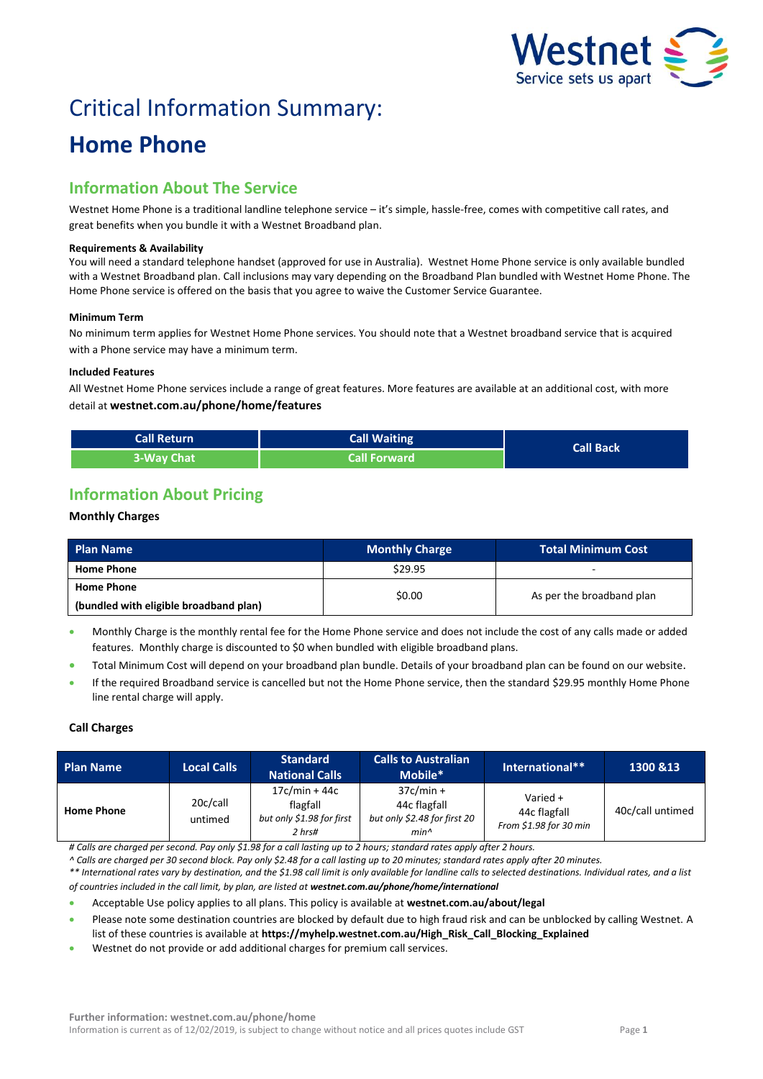

# Critical Information Summary:

## **Home Phone**

## **Information About The Service**

Westnet Home Phone is a traditional landline telephone service – it's simple, hassle-free, comes with competitive call rates, and great benefits when you bundle it with a Westnet Broadband plan.

#### **Requirements & Availability**

You will need a standard telephone handset (approved for use in Australia). Westnet Home Phone service is only available bundled with a Westnet Broadband plan. Call inclusions may vary depending on the Broadband Plan bundled with Westnet Home Phone. The Home Phone service is offered on the basis that you agree to waive the Customer Service Guarantee.

#### **Minimum Term**

No minimum term applies for Westnet Home Phone services. You should note that a Westnet broadband service that is acquired with a Phone service may have a minimum term.

#### **Included Features**

All Westnet Home Phone services include a range of great features. More features are available at an additional cost, with more detail at **westnet.com.au/phone/home/features**

| <b>Call Return</b> | Call Waiting        |                  |
|--------------------|---------------------|------------------|
| 3-Way Chat         | <b>Call Forward</b> | <b>Call Back</b> |

## **Information About Pricing**

#### **Monthly Charges**

| <b>Plan Name</b>                       | <b>Monthly Charge</b> | <b>Total Minimum Cost</b> |  |
|----------------------------------------|-----------------------|---------------------------|--|
| <b>Home Phone</b>                      | \$29.95               |                           |  |
| <b>Home Phone</b>                      | \$0.00                |                           |  |
| (bundled with eligible broadband plan) |                       | As per the broadband plan |  |

 Monthly Charge is the monthly rental fee for the Home Phone service and does not include the cost of any calls made or added features. Monthly charge is discounted to \$0 when bundled with eligible broadband plans.

- Total Minimum Cost will depend on your broadband plan bundle. Details of your broadband plan can be found on our website.
- If the required Broadband service is cancelled but not the Home Phone service, then the standard \$29.95 monthly Home Phone line rental charge will apply.

#### **Call Charges**

| <b>Plan Name</b>  | <b>Local Calls</b>  | <b>Standard</b><br><b>National Calls</b>                           | <b>Calls to Australian</b><br>Mobile*                                           | International**                                    | 1300 & 13        |
|-------------------|---------------------|--------------------------------------------------------------------|---------------------------------------------------------------------------------|----------------------------------------------------|------------------|
| <b>Home Phone</b> | 20c/call<br>untimed | $17c/min + 44c$<br>flagfall<br>but only \$1.98 for first<br>2 hrs# | $37c/min +$<br>44c flagfall<br>but only \$2.48 for first 20<br>min <sub>1</sub> | Varied +<br>44c flagfall<br>From \$1.98 for 30 min | 40c/call untimed |

*# Calls are charged per second. Pay only \$1.98 for a call lasting up to 2 hours; standard rates apply after 2 hours.*

*^ Calls are charged per 30 second block. Pay only \$2.48 for a call lasting up to 20 minutes; standard rates apply after 20 minutes.*

*\*\* International rates vary by destination, and the \$1.98 call limit is only available for landline calls to selected destinations. Individual rates, and a list of countries included in the call limit, by plan, are listed at [westnet.com.au/p](file://///win2k.iinet.net.au/dfs/group/Customer%20Experience/WebDev/CORP%20TEAMS/Products/CIS%20Sheets/Word%20Templates/iiNet/www.iinet.net.au/phone/netphone-voip/international)hone/home/international*

Acceptable Use policy applies to all plans. This policy is available at **westnet.com.au/about/legal**

 Please note some destination countries are blocked by default due to high fraud risk and can be unblocked by calling Westnet. A list of these countries is available at **https://myhelp.westnet.com.au/High\_Risk\_Call\_Blocking\_Explained**

Westnet do not provide or add additional charges for premium call services.